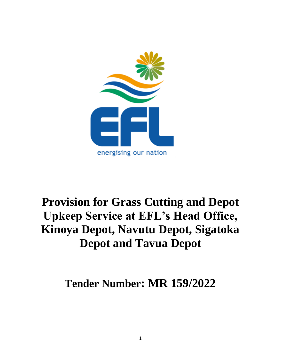

# **Provision for Grass Cutting and Depot Upkeep Service at EFL's Head Office, Kinoya Depot, Navutu Depot, Sigatoka Depot and Tavua Depot**

**Tender Number: MR 159/2022**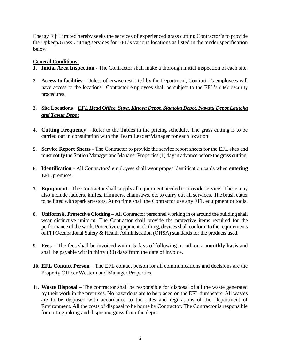Energy Fiji Limited hereby seeks the services of experienced grass cutting Contractor's to provide the Upkeep/Grass Cutting services for EFL's various locations as listed in the tender specification below.

#### **General Conditions:**

- **1. Initial Area Inspection -** The Contractor shall make a thorough initial inspection of each site.
- **2. Access to facilities** Unless otherwise restricted by the Department, Contractor's employees will have access to the locations. Contractor employees shall be subject to the EFL's site's security procedures.

#### **3. Site Locations** – *EFL Head Office, Suva, Kinoya Depot, Sigatoka Depot, Navutu Depot Lautoka and Tavua Depot*

- **4. Cutting Frequency** Refer to the Tables in the pricing schedule. The grass cutting is to be carried out in consultation with the Team Leader/Manager for each location.
- **5. Service Report Sheets** The Contractor to provide the service report sheets for the EFL sites and must notify the Station Manager and Manager Properties(1) day in advance before the grass cutting.
- **6. Identification** All Contractors' employees shall wear proper identification cards when **entering EFL** premises.
- **7. Equipment**  The Contractor shall supply all equipment needed to provide service. These may also include ladders, knifes, trimmers**,** chainsaws, etc to carry out all services. The brush cutter to be fitted with spark arrestors. At no time shall the Contractor use any EFL equipment or tools.
- **8. Uniform & Protective Clothing**  All Contractor personnel working in or around the building shall wear distinctive uniform. The Contractor shall provide the protective items required for the performance of the work. Protective equipment, clothing, devices shall conform to the requirements of Fiji Occupational Safety & Health Administration (OHSA) standards for the products used.
- **9. Fees** The fees shall be invoiced within 5 days of following month on a **monthly basis** and shall be payable within thirty (30) days from the date of invoice.
- **10. EFL Contact Person** The EFL contact person for all communications and decisions are the Property Officer Western and Manager Properties.
- **11. Waste Disposal**  The contractor shall be responsible for disposal of all the waste generated by their work in the premises. No hazardous are to be placed on the EFL dumpsters. All wastes are to be disposed with accordance to the rules and regulations of the Department of Environment. All the costs of disposal to be borne by Contractor. The Contractor is responsible for cutting raking and disposing grass from the depot.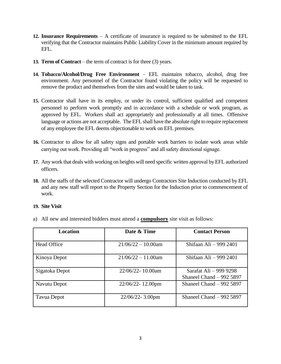- **12. Insurance Requirements** A certificate of insurance is required to be submitted to the EFL verifying that the Contractor maintains Public Liability Cover in the minimum amount required by EFL.
- **13. Term of Contract** the term of contract is for three (3) years.
- **14. Tobacco/Alcohol/Drug Free Environment** EFL maintains tobacco, alcohol, drug free environment. Any personnel of the Contractor found violating the policy will be requested to remove the product and themselves from the sites and would be taken to task.
- **15.** Contractor shall have in its employ, or under its control, sufficient qualified and competent personnel to perform work promptly and in accordance with a schedule or work program, as approved by EFL. Workers shall act appropriately and professionally at all times. Offensive language or actions are not acceptable. The EFL shall have the absolute right to require replacement of any employee the EFL deems objectionable to work on EFL premises.
- **16.** Contractor to allow for all safety signs and portable work barriers to isolate work areas while carrying out work. Providing all "work in progress" and all safety directional signage.
- **17.** Any work that deals with working on heights will need specific written approval by EFL authorized officers.
- **18.** All the staffs of the selected Contractor will undergo Contractors Site Induction conducted by EFL and any new staff will report to the Property Section for the Induction prior to commencement of work.

#### **19. Site Visit**

a) All new and interested bidders must attend a **compulsory** site visit as follows:

| Location           | Date & Time           | <b>Contact Person</b>                              |
|--------------------|-----------------------|----------------------------------------------------|
| <b>Head Office</b> | $21/06/22 - 10.00$ am | Shifaan Ali – 999 2401                             |
| Kinoya Depot       | $21/06/22 - 11.00$ am | Shifaan Ali - 999 2401                             |
| Sigatoka Depot     | 22/06/22-10.00am      | Sarafat Ali - 999 9298<br>Shaneel Chand $-9925897$ |
| Navutu Depot       | 22/06/22-12.00pm      | Shaneel Chand $-9925897$                           |
| Tavua Depot        | $22/06/22 - 3.00$ pm  | Shaneel Chand $-9925897$                           |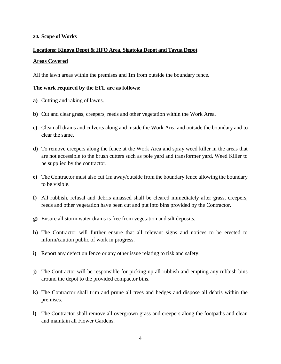#### **20. Scope of Works**

## **Locations: Kinoya Depot & HFO Area, Sigatoka Depot and Tavua Depot Areas Covered**

All the lawn areas within the premises and 1m from outside the boundary fence.

#### **The work required by the EFL are as follows:**

- **a)** Cutting and raking of lawns.
- **b)** Cut and clear grass, creepers, reeds and other vegetation within the Work Area.
- **c)** Clean all drains and culverts along and inside the Work Area and outside the boundary and to clear the same.
- **d)** To remove creepers along the fence at the Work Area and spray weed killer in the areas that are not accessible to the brush cutters such as pole yard and transformer yard. Weed Killer to be supplied by the contractor.
- **e)** The Contractor must also cut 1m away/outside from the boundary fence allowing the boundary to be visible.
- **f)** All rubbish, refusal and debris amassed shall be cleared immediately after grass, creepers, reeds and other vegetation have been cut and put into bins provided by the Contractor.
- **g)** Ensure all storm water drains is free from vegetation and silt deposits.
- **h)** The Contractor will further ensure that all relevant signs and notices to be erected to inform/caution public of work in progress.
- **i)** Report any defect on fence or any other issue relating to risk and safety.
- **j)** The Contractor will be responsible for picking up all rubbish and empting any rubbish bins around the depot to the provided compactor bins.
- **k)** The Contractor shall trim and prune all trees and hedges and dispose all debris within the premises.
- **l)** The Contractor shall remove all overgrown grass and creepers along the footpaths and clean and maintain all Flower Gardens.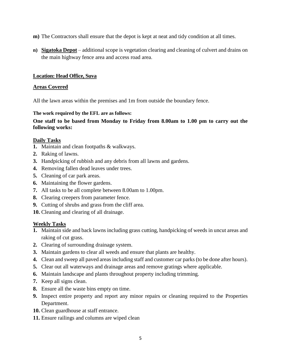- **m)** The Contractors shall ensure that the depot is kept at neat and tidy condition at all times.
- **n) Sigatoka Depot** additional scope is vegetation clearing and cleaning of culvert and drains on the main highway fence area and access road area.

#### **Location: Head Office, Suva**

#### **Areas Covered**

All the lawn areas within the premises and 1m from outside the boundary fence.

#### **The work required by the EFL are as follows:**

#### **One staff to be based from Monday to Friday from 8.00am to 1.00 pm to carry out the following works:**

#### **Daily Tasks**

- **1.** Maintain and clean footpaths & walkways.
- **2.** Raking of lawns.
- **3.** Handpicking of rubbish and any debris from all lawns and gardens.
- **4.** Removing fallen dead leaves under trees.
- **5.** Cleaning of car park areas.
- **6.** Maintaining the flower gardens.
- **7.** All tasks to be all complete between 8.00am to 1.00pm.
- **8.** Clearing creepers from parameter fence.
- **9.** Cutting of shrubs and grass from the cliff area.
- **10.** Cleaning and clearing of all drainage.

#### **Weekly Tasks**

- **1.** Maintain side and back lawns including grass cutting, handpicking of weeds in uncut areas and raking of cut grass.
- **2.** Clearing of surrounding drainage system.
- **3.** Maintain gardens to clear all weeds and ensure that plants are healthy.
- **4.** Clean and sweep all paved areas including staff and customer car parks (to be done after hours).
- **5.** Clear out all waterways and drainage areas and remove gratings where applicable.
- **6.** Maintain landscape and plants throughout property including trimming.
- **7.** Keep all signs clean.
- **8.** Ensure all the waste bins empty on time.
- **9.** Inspect entire property and report any minor repairs or cleaning required to the Properties Department.
- **10.** Clean guardhouse at staff entrance.
- **11.** Ensure railings and columns are wiped clean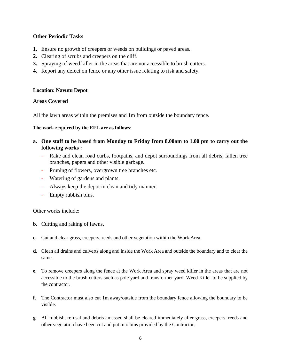#### **Other Periodic Tasks**

- **1.** Ensure no growth of creepers or weeds on buildings or paved areas.
- **2.** Clearing of scrubs and creepers on the cliff.
- **3.** Spraying of weed killer in the areas that are not accessible to brush cutters.
- **4.** Report any defect on fence or any other issue relating to risk and safety.

#### **Location: Navutu Depot**

#### **Areas Covered**

All the lawn areas within the premises and 1m from outside the boundary fence.

#### **The work required by the EFL are as follows:**

- **a. One staff to be based from Monday to Friday from 8.00am to 1.00 pm to carry out the following works :**
	- Rake and clean road curbs, footpaths, and depot surroundings from all debris, fallen tree branches, papers and other visible garbage.
	- Pruning of flowers, overgrown tree branches etc.
	- Watering of gardens and plants.
	- Always keep the depot in clean and tidy manner.
	- Empty rubbish bins.

Other works include:

- **b.** Cutting and raking of lawns.
- **c.** Cut and clear grass, creepers, reeds and other vegetation within the Work Area.
- **d.** Clean all drains and culverts along and inside the Work Area and outside the boundary and to clear the same.
- **e.** To remove creepers along the fence at the Work Area and spray weed killer in the areas that are not accessible to the brush cutters such as pole yard and transformer yard. Weed Killer to be supplied by the contractor.
- **f.** The Contractor must also cut 1m away/outside from the boundary fence allowing the boundary to be visible.
- **g.** All rubbish, refusal and debris amassed shall be cleared immediately after grass, creepers, reeds and other vegetation have been cut and put into bins provided by the Contractor.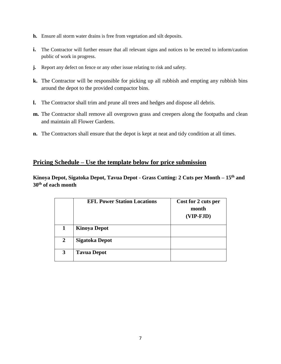- **h.** Ensure all storm water drains is free from vegetation and silt deposits.
- **i.** The Contractor will further ensure that all relevant signs and notices to be erected to inform/caution public of work in progress.
- **j.** Report any defect on fence or any other issue relating to risk and safety.
- **k.** The Contractor will be responsible for picking up all rubbish and empting any rubbish bins around the depot to the provided compactor bins.
- **l.** The Contractor shall trim and prune all trees and hedges and dispose all debris.
- **m.** The Contractor shall remove all overgrown grass and creepers along the footpaths and clean and maintain all Flower Gardens.
- **n.** The Contractors shall ensure that the depot is kept at neat and tidy condition at all times.

#### **Pricing Schedule – Use the template below for price submission**

**Kinoya Depot, Sigatoka Depot, Tavua Depot - Grass Cutting: 2 Cuts per Month – 15th and 30th of each month**

|                | <b>EFL Power Station Locations</b> | Cost for 2 cuts per<br>month<br>$(VIP-FJD)$ |
|----------------|------------------------------------|---------------------------------------------|
| 1              | <b>Kinoya Depot</b>                |                                             |
| $\overline{2}$ | <b>Sigatoka Depot</b>              |                                             |
| 3              | <b>Tavua Depot</b>                 |                                             |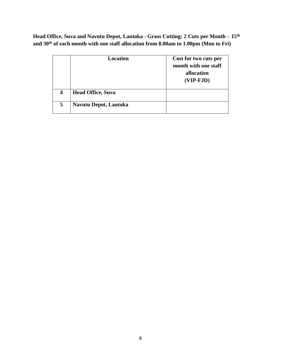**Head Office, Suva and Navutu Depot, Lautoka - Grass Cutting: 2 Cuts per Month – 15th and 30th of each month with one staff allocation from 8.00am to 1.00pm (Mon to Fri)**

|                  | <b>Location</b>              | Cost for two cuts per<br>month with one staff<br>allocation<br>$(VIP-FJD)$ |
|------------------|------------------------------|----------------------------------------------------------------------------|
| $\boldsymbol{4}$ | <b>Head Office, Suva</b>     |                                                                            |
| 5                | <b>Navutu Depot, Lautoka</b> |                                                                            |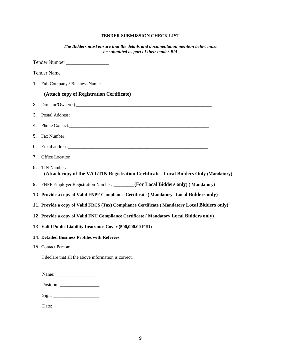#### **TENDER SUBMISSION CHECK LIST**

| The Bidders must ensure that the details and documentation mention below must<br>be submitted as part of their tender Bid |  |
|---------------------------------------------------------------------------------------------------------------------------|--|
| Tender Number                                                                                                             |  |
|                                                                                                                           |  |
| 1. Full Company / Business Name:                                                                                          |  |
| (Attach copy of Registration Certificate)                                                                                 |  |
| 2.                                                                                                                        |  |
| 3.                                                                                                                        |  |
| 4.                                                                                                                        |  |
| 5.                                                                                                                        |  |
| 6.                                                                                                                        |  |
| 7.                                                                                                                        |  |
| TIN Number:<br>8.<br>(Attach copy of the VAT/TIN Registration Certificate - Local Bidders Only (Mandatory)                |  |
| 9. FNPF Employer Registration Number: _______(For Local Bidders only) (Mandatory)                                         |  |
| 10. Provide a copy of Valid FNPF Compliance Certificate (Mandatory- Local Bidders only)                                   |  |
| 11. Provide a copy of Valid FRCS (Tax) Compliance Certificate (Mandatory Local Bidders only)                              |  |
| 12. Provide a copy of Valid FNU Compliance Certificate (Mandatory Local Bidders only)                                     |  |
| 13. Valid Public Liability Insurance Cover (500,000.00 FJD)                                                               |  |
| 14. Detailed Business Profiles with Referees                                                                              |  |
| 15. Contact Person:                                                                                                       |  |
| I declare that all the above information is correct.                                                                      |  |
|                                                                                                                           |  |
|                                                                                                                           |  |
|                                                                                                                           |  |
|                                                                                                                           |  |